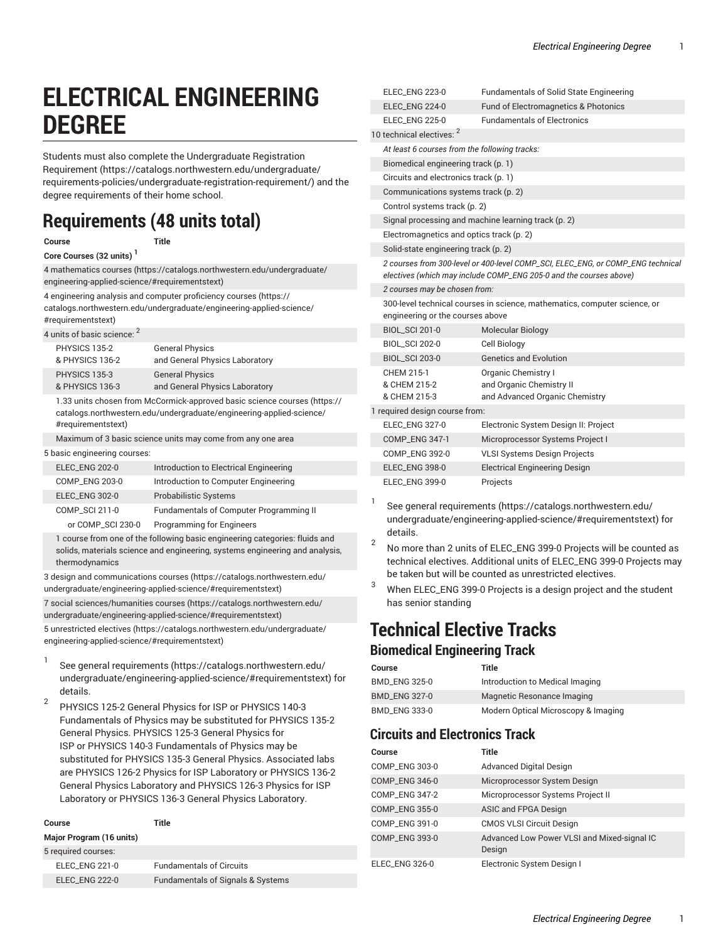# **ELECTRICAL ENGINEERING DEGREE**

Students must also complete the [Undergraduate](https://catalogs.northwestern.edu/undergraduate/requirements-policies/undergraduate-registration-requirement/) Registration [Requirement](https://catalogs.northwestern.edu/undergraduate/requirements-policies/undergraduate-registration-requirement/) ([https://catalogs.northwestern.edu/undergraduate/](https://catalogs.northwestern.edu/undergraduate/requirements-policies/undergraduate-registration-requirement/) [requirements-policies/undergraduate-registration-requirement/\)](https://catalogs.northwestern.edu/undergraduate/requirements-policies/undergraduate-registration-requirement/) and the degree requirements of their home school.

# **Requirements (48 units total)**

**Course Title**

#### **Core Courses (32 units) <sup>1</sup>**

[4 mathematics courses](https://catalogs.northwestern.edu/undergraduate/engineering-applied-science/#requirementstext) [\(https://catalogs.northwestern.edu/undergraduate/](https://catalogs.northwestern.edu/undergraduate/engineering-applied-science/#requirementstext) [engineering-applied-science/#requirementstext\)](https://catalogs.northwestern.edu/undergraduate/engineering-applied-science/#requirementstext) 4 [engineering](https://catalogs.northwestern.edu/undergraduate/engineering-applied-science/#requirementstext) analysis and computer proficiency courses ([https://](https://catalogs.northwestern.edu/undergraduate/engineering-applied-science/#requirementstext)

[catalogs.northwestern.edu/undergraduate/engineering-applied-science/](https://catalogs.northwestern.edu/undergraduate/engineering-applied-science/#requirementstext) [#requirementstext](https://catalogs.northwestern.edu/undergraduate/engineering-applied-science/#requirementstext))

#### 4 units of basic science: <sup>2</sup>

|                              | PHYSICS 135-2<br>& PHYSICS 136-2 | <b>General Physics</b><br>and General Physics Laboratory                                                                                          |  |  |
|------------------------------|----------------------------------|---------------------------------------------------------------------------------------------------------------------------------------------------|--|--|
|                              | PHYSICS 135-3<br>& PHYSICS 136-3 | <b>General Physics</b><br>and General Physics Laboratory                                                                                          |  |  |
|                              | #requirementstext)               | 1.33 units chosen from McCormick-approved basic science courses (https://<br>catalogs.northwestern.edu/undergraduate/engineering-applied-science/ |  |  |
|                              |                                  | Maximum of 3 basic science units may come from any one area                                                                                       |  |  |
| 5 basic engineering courses: |                                  |                                                                                                                                                   |  |  |
|                              | <b>ELEC ENG 202-0</b>            | Introduction to Electrical Engineering                                                                                                            |  |  |
|                              | <b>COMP ENG 203-0</b>            | Introduction to Computer Engineering                                                                                                              |  |  |
|                              | <b>ELEC ENG 302-0</b>            | <b>Probabilistic Systems</b>                                                                                                                      |  |  |

COMP\_SCI 211-0 Fundamentals of Computer Programming II or COMP\_SCI 230-0 Programming for Engineers 1 course from one of the following basic engineering categories: fluids and

solids, materials science and engineering, systems engineering and analysis, thermodynamics

[3 design and communications courses](https://catalogs.northwestern.edu/undergraduate/engineering-applied-science/#requirementstext) ([https://catalogs.northwestern.edu/](https://catalogs.northwestern.edu/undergraduate/engineering-applied-science/#requirementstext) [undergraduate/engineering-applied-science/#requirementstext\)](https://catalogs.northwestern.edu/undergraduate/engineering-applied-science/#requirementstext)

[7 social sciences/humanities courses](https://catalogs.northwestern.edu/undergraduate/engineering-applied-science/#requirementstext) ([https://catalogs.northwestern.edu/](https://catalogs.northwestern.edu/undergraduate/engineering-applied-science/#requirementstext) [undergraduate/engineering-applied-science/#requirementstext\)](https://catalogs.northwestern.edu/undergraduate/engineering-applied-science/#requirementstext)

5 [unrestricted](https://catalogs.northwestern.edu/undergraduate/engineering-applied-science/#requirementstext) electives [\(https://catalogs.northwestern.edu/undergraduate/](https://catalogs.northwestern.edu/undergraduate/engineering-applied-science/#requirementstext) [engineering-applied-science/#requirementstext\)](https://catalogs.northwestern.edu/undergraduate/engineering-applied-science/#requirementstext)

- 1 See general [requirements](https://catalogs.northwestern.edu/undergraduate/engineering-applied-science/#requirementstext) ([https://catalogs.northwestern.edu/](https://catalogs.northwestern.edu/undergraduate/engineering-applied-science/#requirementstext) [undergraduate/engineering-applied-science/#requirementstext](https://catalogs.northwestern.edu/undergraduate/engineering-applied-science/#requirementstext)) for details.
- 2 PHYSICS 125-2 General Physics for ISP or PHYSICS 140-3 Fundamentals of Physics may be substituted for PHYSICS 135-2 General Physics. PHYSICS 125-3 General Physics for ISP or PHYSICS 140-3 Fundamentals of Physics may be substituted for PHYSICS 135-3 General Physics. Associated labs are PHYSICS 126-2 Physics for ISP Laboratory or PHYSICS 136-2 General Physics Laboratory and PHYSICS 126-3 Physics for ISP Laboratory or PHYSICS 136-3 General Physics Laboratory.

| Course                   | Title                                        |
|--------------------------|----------------------------------------------|
| Major Program (16 units) |                                              |
| 5 required courses:      |                                              |
| <b>ELEC ENG 221-0</b>    | <b>Fundamentals of Circuits</b>              |
| <b>ELEC ENG 222-0</b>    | <b>Fundamentals of Signals &amp; Systems</b> |

| <b>ELEC ENG 223-0</b>                               | <b>Fundamentals of Solid State Engineering</b>                                                                                                        |
|-----------------------------------------------------|-------------------------------------------------------------------------------------------------------------------------------------------------------|
| <b>ELEC ENG 224-0</b>                               | Fund of Electromagnetics & Photonics                                                                                                                  |
| <b>ELEC ENG 225-0</b>                               | <b>Fundamentals of Electronics</b>                                                                                                                    |
| 10 technical electives: 2                           |                                                                                                                                                       |
| At least 6 courses from the following tracks:       |                                                                                                                                                       |
| Biomedical engineering track (p. 1)                 |                                                                                                                                                       |
| Circuits and electronics track (p. 1)               |                                                                                                                                                       |
| Communications systems track (p. 2)                 |                                                                                                                                                       |
| Control systems track (p. 2)                        |                                                                                                                                                       |
| Signal processing and machine learning track (p. 2) |                                                                                                                                                       |
| Electromagnetics and optics track (p. 2)            |                                                                                                                                                       |
| Solid-state engineering track (p. 2)                |                                                                                                                                                       |
|                                                     | 2 courses from 300-level or 400-level COMP_SCI, ELEC_ENG, or COMP_ENG technical<br>electives (which may include COMP_ENG 205-0 and the courses above) |
| 2 courses may be chosen from:                       |                                                                                                                                                       |
| engineering or the courses above                    | 300-level technical courses in science, mathematics, computer science, or                                                                             |
| <b>BIOL_SCI 201-0</b>                               | <b>Molecular Biology</b>                                                                                                                              |
| <b>BIOL SCI 202-0</b>                               | Cell Biology                                                                                                                                          |
| <b>BIOL_SCI 203-0</b>                               | Genetics and Evolution                                                                                                                                |
| CHEM 215-1<br>& CHEM 215-2<br>& CHEM 215-3          | Organic Chemistry I<br>and Organic Chemistry II<br>and Advanced Organic Chemistry                                                                     |
| 1 required design course from:                      |                                                                                                                                                       |
| <b>ELEC ENG 327-0</b>                               | Electronic System Design II: Project                                                                                                                  |
| COMP_ENG 347-1                                      | Microprocessor Systems Project I                                                                                                                      |
| COMP_ENG 392-0                                      | <b>VLSI Systems Design Projects</b>                                                                                                                   |
| <b>ELEC_ENG 398-0</b>                               | <b>Electrical Engineering Design</b>                                                                                                                  |
| <b>ELEC_ENG 399-0</b>                               | Projects                                                                                                                                              |

- 1 See general [requirements](https://catalogs.northwestern.edu/undergraduate/engineering-applied-science/#requirementstext) ([https://catalogs.northwestern.edu/](https://catalogs.northwestern.edu/undergraduate/engineering-applied-science/#requirementstext) [undergraduate/engineering-applied-science/#requirementstext\)](https://catalogs.northwestern.edu/undergraduate/engineering-applied-science/#requirementstext) for details.
- 2 No more than 2 units of ELEC\_ENG 399-0 Projects will be counted as technical electives. Additional units of ELEC\_ENG 399-0 Projects may be taken but will be counted as unrestricted electives.
- <sup>3</sup> When ELEC\_ENG 399-0 Projects is <sup>a</sup> design project and the student has senior standing

# <span id="page-0-0"></span>**Technical Elective Tracks**

#### **Biomedical Engineering Track**

| Course               | Title                               |
|----------------------|-------------------------------------|
| <b>BMD ENG 325-0</b> | Introduction to Medical Imaging     |
| <b>BMD ENG 327-0</b> | Magnetic Resonance Imaging          |
| <b>BMD ENG 333-0</b> | Modern Optical Microscopy & Imaging |

#### <span id="page-0-1"></span>**Circuits and Electronics Track**

| Course         | Title                                                 |
|----------------|-------------------------------------------------------|
| COMP_ENG 303-0 | <b>Advanced Digital Design</b>                        |
| COMP_ENG 346-0 | Microprocessor System Design                          |
| COMP_ENG 347-2 | Microprocessor Systems Project II                     |
| COMP_ENG 355-0 | ASIC and FPGA Design                                  |
| COMP_ENG 391-0 | <b>CMOS VLSI Circuit Design</b>                       |
| COMP_ENG 393-0 | Advanced Low Power VLSI and Mixed-signal IC<br>Design |
| ELEC_ENG 326-0 | Electronic System Design I                            |